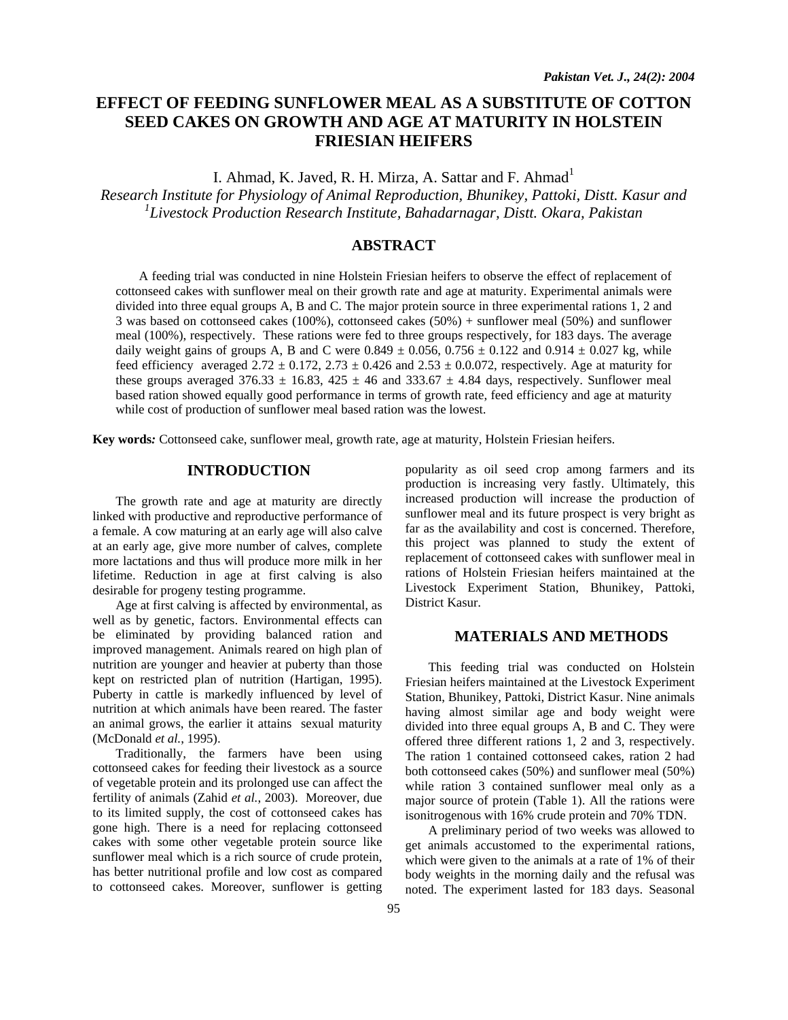# **EFFECT OF FEEDING SUNFLOWER MEAL AS A SUBSTITUTE OF COTTON SEED CAKES ON GROWTH AND AGE AT MATURITY IN HOLSTEIN FRIESIAN HEIFERS**

I. Ahmad, K. Javed, R. H. Mirza, A. Sattar and F. Ahmad<sup>1</sup>

*Research Institute for Physiology of Animal Reproduction, Bhunikey, Pattoki, Distt. Kasur and*  <sup>1</sup>Livestock Production Research Institute, Bahadarnagar, Distt. Okara, Pakistan

## **ABSTRACT**

A feeding trial was conducted in nine Holstein Friesian heifers to observe the effect of replacement of cottonseed cakes with sunflower meal on their growth rate and age at maturity. Experimental animals were divided into three equal groups A, B and C. The major protein source in three experimental rations 1, 2 and 3 was based on cottonseed cakes (100%), cottonseed cakes (50%) + sunflower meal (50%) and sunflower meal (100%), respectively. These rations were fed to three groups respectively, for 183 days. The average daily weight gains of groups A, B and C were  $0.849 \pm 0.056$ ,  $0.756 \pm 0.122$  and  $0.914 \pm 0.027$  kg, while feed efficiency averaged  $2.72 \pm 0.172$ ,  $2.73 \pm 0.426$  and  $2.53 \pm 0.0.072$ , respectively. Age at maturity for these groups averaged 376.33  $\pm$  16.83, 425  $\pm$  46 and 333.67  $\pm$  4.84 days, respectively. Sunflower meal based ration showed equally good performance in terms of growth rate, feed efficiency and age at maturity while cost of production of sunflower meal based ration was the lowest.

**Key words***:* Cottonseed cake, sunflower meal, growth rate, age at maturity, Holstein Friesian heifers.

## **INTRODUCTION**

The growth rate and age at maturity are directly linked with productive and reproductive performance of a female. A cow maturing at an early age will also calve at an early age, give more number of calves, complete more lactations and thus will produce more milk in her lifetime. Reduction in age at first calving is also desirable for progeny testing programme.

Age at first calving is affected by environmental, as well as by genetic, factors. Environmental effects can be eliminated by providing balanced ration and improved management. Animals reared on high plan of nutrition are younger and heavier at puberty than those kept on restricted plan of nutrition (Hartigan, 1995). Puberty in cattle is markedly influenced by level of nutrition at which animals have been reared. The faster an animal grows, the earlier it attains sexual maturity (McDonald *et al.*, 1995).

Traditionally, the farmers have been using cottonseed cakes for feeding their livestock as a source of vegetable protein and its prolonged use can affect the fertility of animals (Zahid *et al.*, 2003). Moreover, due to its limited supply, the cost of cottonseed cakes has gone high. There is a need for replacing cottonseed cakes with some other vegetable protein source like sunflower meal which is a rich source of crude protein, has better nutritional profile and low cost as compared to cottonseed cakes. Moreover, sunflower is getting popularity as oil seed crop among farmers and its production is increasing very fastly. Ultimately, this increased production will increase the production of sunflower meal and its future prospect is very bright as far as the availability and cost is concerned. Therefore, this project was planned to study the extent of replacement of cottonseed cakes with sunflower meal in rations of Holstein Friesian heifers maintained at the Livestock Experiment Station, Bhunikey, Pattoki, District Kasur.

## **MATERIALS AND METHODS**

This feeding trial was conducted on Holstein Friesian heifers maintained at the Livestock Experiment Station, Bhunikey, Pattoki, District Kasur. Nine animals having almost similar age and body weight were divided into three equal groups A, B and C. They were offered three different rations 1, 2 and 3, respectively. The ration 1 contained cottonseed cakes, ration 2 had both cottonseed cakes (50%) and sunflower meal (50%) while ration 3 contained sunflower meal only as a major source of protein (Table 1). All the rations were isonitrogenous with 16% crude protein and 70% TDN.

A preliminary period of two weeks was allowed to get animals accustomed to the experimental rations, which were given to the animals at a rate of 1% of their body weights in the morning daily and the refusal was noted. The experiment lasted for 183 days. Seasonal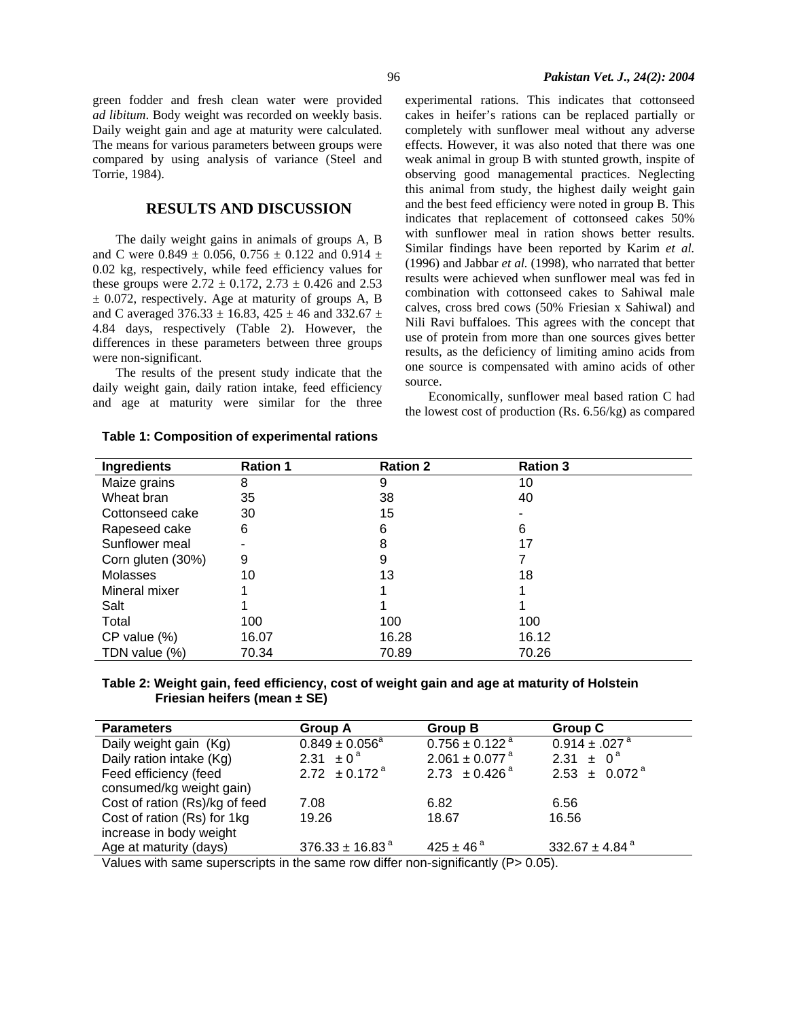green fodder and fresh clean water were provided *ad libitum*. Body weight was recorded on weekly basis. Daily weight gain and age at maturity were calculated. The means for various parameters between groups were compared by using analysis of variance (Steel and Torrie, 1984).

#### **RESULTS AND DISCUSSION**

The daily weight gains in animals of groups A, B and C were  $0.849 \pm 0.056$ ,  $0.756 \pm 0.122$  and  $0.914 \pm$ 0.02 kg, respectively, while feed efficiency values for these groups were  $2.72 \pm 0.172$ ,  $2.73 \pm 0.426$  and  $2.53$  $\pm$  0.072, respectively. Age at maturity of groups A, B and C averaged 376.33  $\pm$  16.83, 425  $\pm$  46 and 332.67  $\pm$ 4.84 days, respectively (Table 2). However, the differences in these parameters between three groups were non-significant.

The results of the present study indicate that the daily weight gain, daily ration intake, feed efficiency and age at maturity were similar for the three experimental rations. This indicates that cottonseed cakes in heifer's rations can be replaced partially or completely with sunflower meal without any adverse effects. However, it was also noted that there was one weak animal in group B with stunted growth, inspite of observing good managemental practices. Neglecting this animal from study, the highest daily weight gain and the best feed efficiency were noted in group B. This indicates that replacement of cottonseed cakes 50% with sunflower meal in ration shows better results. Similar findings have been reported by Karim *et al.* (1996) and Jabbar *et al.* (1998), who narrated that better results were achieved when sunflower meal was fed in combination with cottonseed cakes to Sahiwal male calves, cross bred cows (50% Friesian x Sahiwal) and Nili Ravi buffaloes. This agrees with the concept that use of protein from more than one sources gives better results, as the deficiency of limiting amino acids from one source is compensated with amino acids of other source.

Economically, sunflower meal based ration C had the lowest cost of production (Rs. 6.56/kg) as compared

| Ingredients       | <b>Ration 1</b> | <b>Ration 2</b> | <b>Ration 3</b> |  |
|-------------------|-----------------|-----------------|-----------------|--|
| Maize grains      | 8               | 9               | 10              |  |
| Wheat bran        | 35              | 38              | 40              |  |
| Cottonseed cake   | 30              | 15              |                 |  |
| Rapeseed cake     | 6               | 6               | 6               |  |
| Sunflower meal    |                 | 8               | 17              |  |
| Corn gluten (30%) | 9               | 9               |                 |  |
| Molasses          | 10              | 13              | 18              |  |
| Mineral mixer     |                 |                 |                 |  |
| Salt              |                 |                 |                 |  |
| Total             | 100             | 100             | 100             |  |
| $CP$ value $(\%)$ | 16.07           | 16.28           | 16.12           |  |
| TDN value (%)     | 70.34           | 70.89           | 70.26           |  |

**Table 1: Composition of experimental rations** 

#### **Table 2: Weight gain, feed efficiency, cost of weight gain and age at maturity of Holstein Friesian heifers (mean ± SE)**

| <b>Parameters</b>                                                                                                                                                                                                                                                                                                                        | <b>Group A</b>                | <b>Group B</b>                 | Group C                        |  |
|------------------------------------------------------------------------------------------------------------------------------------------------------------------------------------------------------------------------------------------------------------------------------------------------------------------------------------------|-------------------------------|--------------------------------|--------------------------------|--|
| Daily weight gain (Kg)                                                                                                                                                                                                                                                                                                                   | $0.849 \pm 0.056^{\circ}$     | $0.756 \pm 0.122$ <sup>a</sup> | $0.914 \pm .027$ <sup>a</sup>  |  |
| Daily ration intake (Kg)                                                                                                                                                                                                                                                                                                                 | $2.31 \pm 0^{\circ}$          | $2.061 \pm 0.077$ <sup>a</sup> | $2.31 \pm 0^a$                 |  |
| Feed efficiency (feed                                                                                                                                                                                                                                                                                                                    | 2.72 $\pm$ 0.172 <sup>a</sup> | $2.73 \pm 0.426^{\circ}$       | $2.53 \pm 0.072^{\text{a}}$    |  |
| consumed/kg weight gain)                                                                                                                                                                                                                                                                                                                 |                               |                                |                                |  |
| Cost of ration (Rs)/kg of feed                                                                                                                                                                                                                                                                                                           | 7.08                          | 6.82                           | 6.56                           |  |
| Cost of ration (Rs) for 1kg                                                                                                                                                                                                                                                                                                              | 19.26                         | 18.67                          | 16.56                          |  |
| increase in body weight                                                                                                                                                                                                                                                                                                                  |                               |                                |                                |  |
| Age at maturity (days)                                                                                                                                                                                                                                                                                                                   | $376.33 \pm 16.83^{\text{a}}$ | $425 \pm 46^{\circ}$           | 332.67 $\pm$ 4.84 <sup>a</sup> |  |
| <br>$\mathbf{v}$ and $\mathbf{v}$ and $\mathbf{v}$ and $\mathbf{v}$ and $\mathbf{v}$ and $\mathbf{v}$ and $\mathbf{v}$ and $\mathbf{v}$ and $\mathbf{v}$ and $\mathbf{v}$ and $\mathbf{v}$ and $\mathbf{v}$ and $\mathbf{v}$ and $\mathbf{v}$ and $\mathbf{v}$ and $\mathbf{v}$ and $\mathbf{v}$ and<br>.<br>$\sim$ $\sim$ $\sim$ $\sim$ |                               |                                |                                |  |

Values with same superscripts in the same row differ non-significantly (P> 0.05).